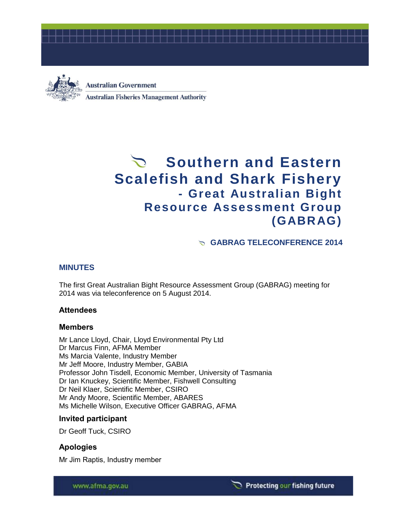



**Australian Government Australian Fisheries Management Authority** 

# **Southern and Eastern Scalefish and Shark Fishery - Great Australian Bight Resource Assessment Group (GABRAG)**

**GABRAG TELECONFERENCE 2014**

# **MINUTES**

The first Great Australian Bight Resource Assessment Group (GABRAG) meeting for 2014 was via teleconference on 5 August 2014.

## **Attendees**

## **Members**

Mr Lance Lloyd, Chair, Lloyd Environmental Pty Ltd Dr Marcus Finn, AFMA Member Ms Marcia Valente, Industry Member Mr Jeff Moore, Industry Member, GABIA Professor John Tisdell, Economic Member, University of Tasmania Dr Ian Knuckey, Scientific Member, Fishwell Consulting Dr Neil Klaer, Scientific Member, CSIRO Mr Andy Moore, Scientific Member, ABARES Ms Michelle Wilson, Executive Officer GABRAG, AFMA

## **Invited participant**

Dr Geoff Tuck, CSIRO

# **Apologies**

Mr Jim Raptis, Industry member

www.afma.gov.au

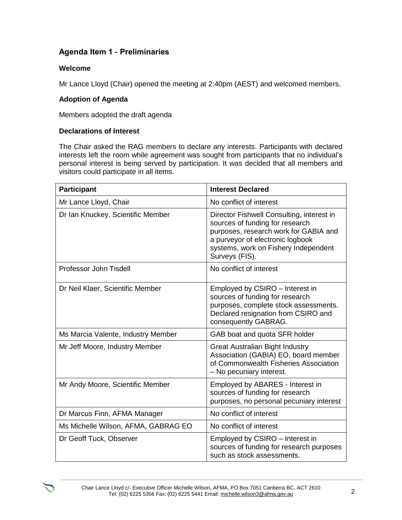# **Agenda Item 1 - Preliminaries**

#### **Welcome**

Mr Lance Lloyd (Chair) opened the meeting at 2:40pm (AEST) and welcomed members.

## **Adoption of Agenda**

Members adopted the draft agenda

#### **Declarations of Interest**

The Chair asked the RAG members to declare any interests. Participants with declared interests left the room while agreement was sought from participants that no individual's personal interest is being served by participation. It was decided that all members and visitors could participate in all items.

| <b>Participant</b>                  | <b>Interest Declared</b>                                                                                                                                                                                            |  |  |
|-------------------------------------|---------------------------------------------------------------------------------------------------------------------------------------------------------------------------------------------------------------------|--|--|
| Mr Lance Lloyd, Chair               | No conflict of interest                                                                                                                                                                                             |  |  |
| Dr Ian Knuckey, Scientific Member   | Director Fishwell Consulting, interest in<br>sources of funding for research<br>purposes, research work for GABIA and<br>a purveyor of electronic logbook<br>systems, work on Fishery Independent<br>Surveys (FIS). |  |  |
| Professor John Tisdell              | No conflict of interest                                                                                                                                                                                             |  |  |
| Dr Neil Klaer, Scientific Member    | Employed by CSIRO - Interest in<br>sources of funding for research<br>purposes, complete stock assessments.<br>Declared resignation from CSIRO and<br>consequently GABRAG.                                          |  |  |
| Ms Marcia Valente, Industry Member  | GAB boat and quota SFR holder                                                                                                                                                                                       |  |  |
| Mr Jeff Moore, Industry Member      | <b>Great Australian Bight Industry</b><br>Association (GABIA) EO, board member<br>of Commonwealth Fisheries Association<br>- No pecuniary interest.                                                                 |  |  |
| Mr Andy Moore, Scientific Member    | Employed by ABARES - Interest in<br>sources of funding for research<br>purposes, no personal pecuniary interest                                                                                                     |  |  |
| Dr Marcus Finn, AFMA Manager        | No conflict of interest                                                                                                                                                                                             |  |  |
| Ms Michelle Wilson, AFMA, GABRAG EO | No conflict of interest                                                                                                                                                                                             |  |  |
| Dr Geoff Tuck, Observer             | Employed by CSIRO - Interest in<br>sources of funding for research purposes<br>such as stock assessments.                                                                                                           |  |  |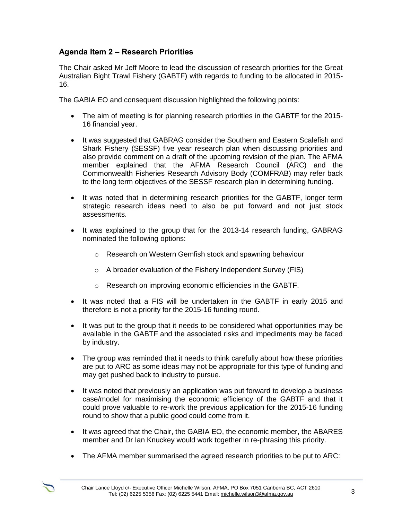# **Agenda Item 2 – Research Priorities**

The Chair asked Mr Jeff Moore to lead the discussion of research priorities for the Great Australian Bight Trawl Fishery (GABTF) with regards to funding to be allocated in 2015- 16.

The GABIA EO and consequent discussion highlighted the following points:

- The aim of meeting is for planning research priorities in the GABTF for the 2015- 16 financial year.
- It was suggested that GABRAG consider the Southern and Eastern Scalefish and Shark Fishery (SESSF) five year research plan when discussing priorities and also provide comment on a draft of the upcoming revision of the plan. The AFMA member explained that the AFMA Research Council (ARC) and the Commonwealth Fisheries Research Advisory Body (COMFRAB) may refer back to the long term objectives of the SESSF research plan in determining funding.
- It was noted that in determining research priorities for the GABTF, longer term strategic research ideas need to also be put forward and not just stock assessments.
- It was explained to the group that for the 2013-14 research funding, GABRAG nominated the following options:
	- o Research on Western Gemfish stock and spawning behaviour
	- o A broader evaluation of the Fishery Independent Survey (FIS)
	- o Research on improving economic efficiencies in the GABTF.
- It was noted that a FIS will be undertaken in the GABTF in early 2015 and therefore is not a priority for the 2015-16 funding round.
- It was put to the group that it needs to be considered what opportunities may be available in the GABTF and the associated risks and impediments may be faced by industry.
- The group was reminded that it needs to think carefully about how these priorities are put to ARC as some ideas may not be appropriate for this type of funding and may get pushed back to industry to pursue.
- It was noted that previously an application was put forward to develop a business case/model for maximising the economic efficiency of the GABTF and that it could prove valuable to re-work the previous application for the 2015-16 funding round to show that a public good could come from it.
- It was agreed that the Chair, the GABIA EO, the economic member, the ABARES member and Dr Ian Knuckey would work together in re-phrasing this priority.
- The AFMA member summarised the agreed research priorities to be put to ARC: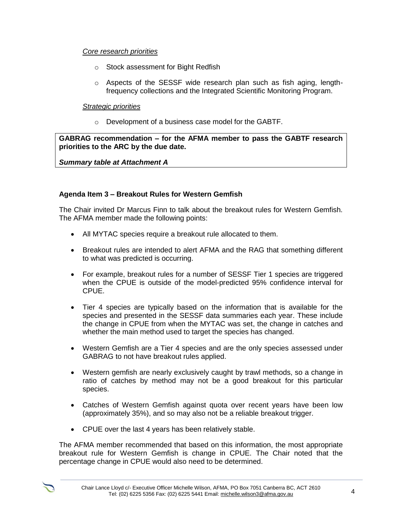#### *Core research priorities*

- o Stock assessment for Bight Redfish
- $\circ$  Aspects of the SESSF wide research plan such as fish aging, lengthfrequency collections and the Integrated Scientific Monitoring Program.

#### *Strategic priorities*

o Development of a business case model for the GABTF.

**GABRAG recommendation – for the AFMA member to pass the GABTF research priorities to the ARC by the due date.**

*Summary table at Attachment A*

#### **Agenda Item 3 – Breakout Rules for Western Gemfish**

The Chair invited Dr Marcus Finn to talk about the breakout rules for Western Gemfish. The AFMA member made the following points:

- All MYTAC species require a breakout rule allocated to them.
- Breakout rules are intended to alert AFMA and the RAG that something different to what was predicted is occurring.
- For example, breakout rules for a number of SESSF Tier 1 species are triggered when the CPUE is outside of the model-predicted 95% confidence interval for CPUE.
- Tier 4 species are typically based on the information that is available for the species and presented in the SESSF data summaries each year. These include the change in CPUE from when the MYTAC was set, the change in catches and whether the main method used to target the species has changed.
- Western Gemfish are a Tier 4 species and are the only species assessed under GABRAG to not have breakout rules applied.
- Western gemfish are nearly exclusively caught by trawl methods, so a change in ratio of catches by method may not be a good breakout for this particular species.
- Catches of Western Gemfish against quota over recent years have been low (approximately 35%), and so may also not be a reliable breakout trigger.
- CPUE over the last 4 years has been relatively stable.

The AFMA member recommended that based on this information, the most appropriate breakout rule for Western Gemfish is change in CPUE. The Chair noted that the percentage change in CPUE would also need to be determined.

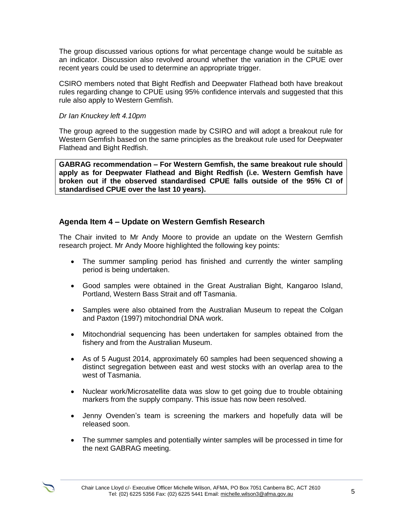The group discussed various options for what percentage change would be suitable as an indicator. Discussion also revolved around whether the variation in the CPUE over recent years could be used to determine an appropriate trigger.

CSIRO members noted that Bight Redfish and Deepwater Flathead both have breakout rules regarding change to CPUE using 95% confidence intervals and suggested that this rule also apply to Western Gemfish.

#### *Dr Ian Knuckey left 4.10pm*

The group agreed to the suggestion made by CSIRO and will adopt a breakout rule for Western Gemfish based on the same principles as the breakout rule used for Deepwater Flathead and Bight Redfish.

**GABRAG recommendation – For Western Gemfish, the same breakout rule should apply as for Deepwater Flathead and Bight Redfish (i.e. Western Gemfish have broken out if the observed standardised CPUE falls outside of the 95% CI of standardised CPUE over the last 10 years).**

## **Agenda Item 4 – Update on Western Gemfish Research**

The Chair invited to Mr Andy Moore to provide an update on the Western Gemfish research project. Mr Andy Moore highlighted the following key points:

- The summer sampling period has finished and currently the winter sampling period is being undertaken.
- Good samples were obtained in the Great Australian Bight, Kangaroo Island, Portland, Western Bass Strait and off Tasmania.
- Samples were also obtained from the Australian Museum to repeat the Colgan and Paxton (1997) mitochondrial DNA work.
- Mitochondrial sequencing has been undertaken for samples obtained from the fishery and from the Australian Museum.
- As of 5 August 2014, approximately 60 samples had been sequenced showing a distinct segregation between east and west stocks with an overlap area to the west of Tasmania.
- Nuclear work/Microsatellite data was slow to get going due to trouble obtaining markers from the supply company. This issue has now been resolved.
- Jenny Ovenden's team is screening the markers and hopefully data will be released soon.
- The summer samples and potentially winter samples will be processed in time for the next GABRAG meeting.

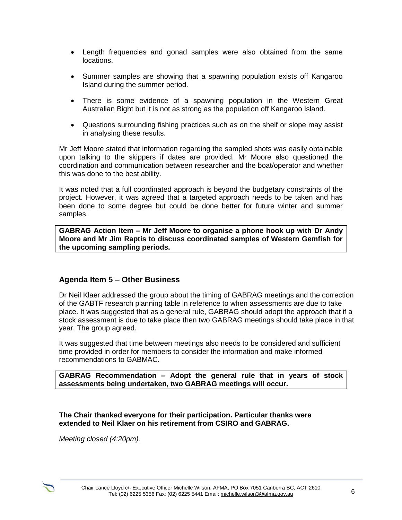- Length frequencies and gonad samples were also obtained from the same locations.
- Summer samples are showing that a spawning population exists off Kangaroo Island during the summer period.
- There is some evidence of a spawning population in the Western Great Australian Bight but it is not as strong as the population off Kangaroo Island.
- Questions surrounding fishing practices such as on the shelf or slope may assist in analysing these results.

Mr Jeff Moore stated that information regarding the sampled shots was easily obtainable upon talking to the skippers if dates are provided. Mr Moore also questioned the coordination and communication between researcher and the boat/operator and whether this was done to the best ability.

It was noted that a full coordinated approach is beyond the budgetary constraints of the project. However, it was agreed that a targeted approach needs to be taken and has been done to some degree but could be done better for future winter and summer samples.

**GABRAG Action Item – Mr Jeff Moore to organise a phone hook up with Dr Andy Moore and Mr Jim Raptis to discuss coordinated samples of Western Gemfish for the upcoming sampling periods.**

## **Agenda Item 5 – Other Business**

Dr Neil Klaer addressed the group about the timing of GABRAG meetings and the correction of the GABTF research planning table in reference to when assessments are due to take place. It was suggested that as a general rule, GABRAG should adopt the approach that if a stock assessment is due to take place then two GABRAG meetings should take place in that year. The group agreed.

It was suggested that time between meetings also needs to be considered and sufficient time provided in order for members to consider the information and make informed recommendations to GABMAC.

**GABRAG Recommendation – Adopt the general rule that in years of stock assessments being undertaken, two GABRAG meetings will occur.**

**The Chair thanked everyone for their participation. Particular thanks were extended to Neil Klaer on his retirement from CSIRO and GABRAG.**

*Meeting closed (4:20pm).*